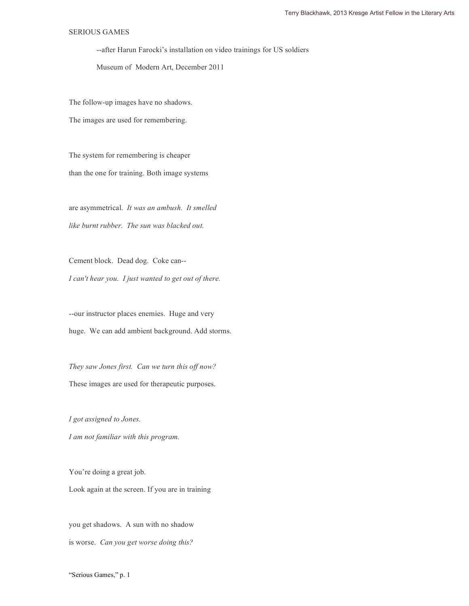## SERIOUS GAMES

--after Harun Farocki's installation on video trainings for US soldiers

Museum of Modern Art, December 2011

The follow-up images have no shadows.

The images are used for remembering.

The system for remembering is cheaper than the one for training. Both image systems

are asymmetrical. *It was an ambush. It smelled like burnt rubber. The sun was blacked out.* 

Cement block. Dead dog. Coke can-- *I can't hear you. I just wanted to get out of there.*

--our instructor places enemies. Huge and very huge. We can add ambient background. Add storms.

*They saw Jones first. Can we turn this off now?*  These images are used for therapeutic purposes.

*I got assigned to Jones. I am not familiar with this program.*

You're doing a great job. Look again at the screen. If you are in training

you get shadows. A sun with no shadow is worse. *Can you get worse doing this?*